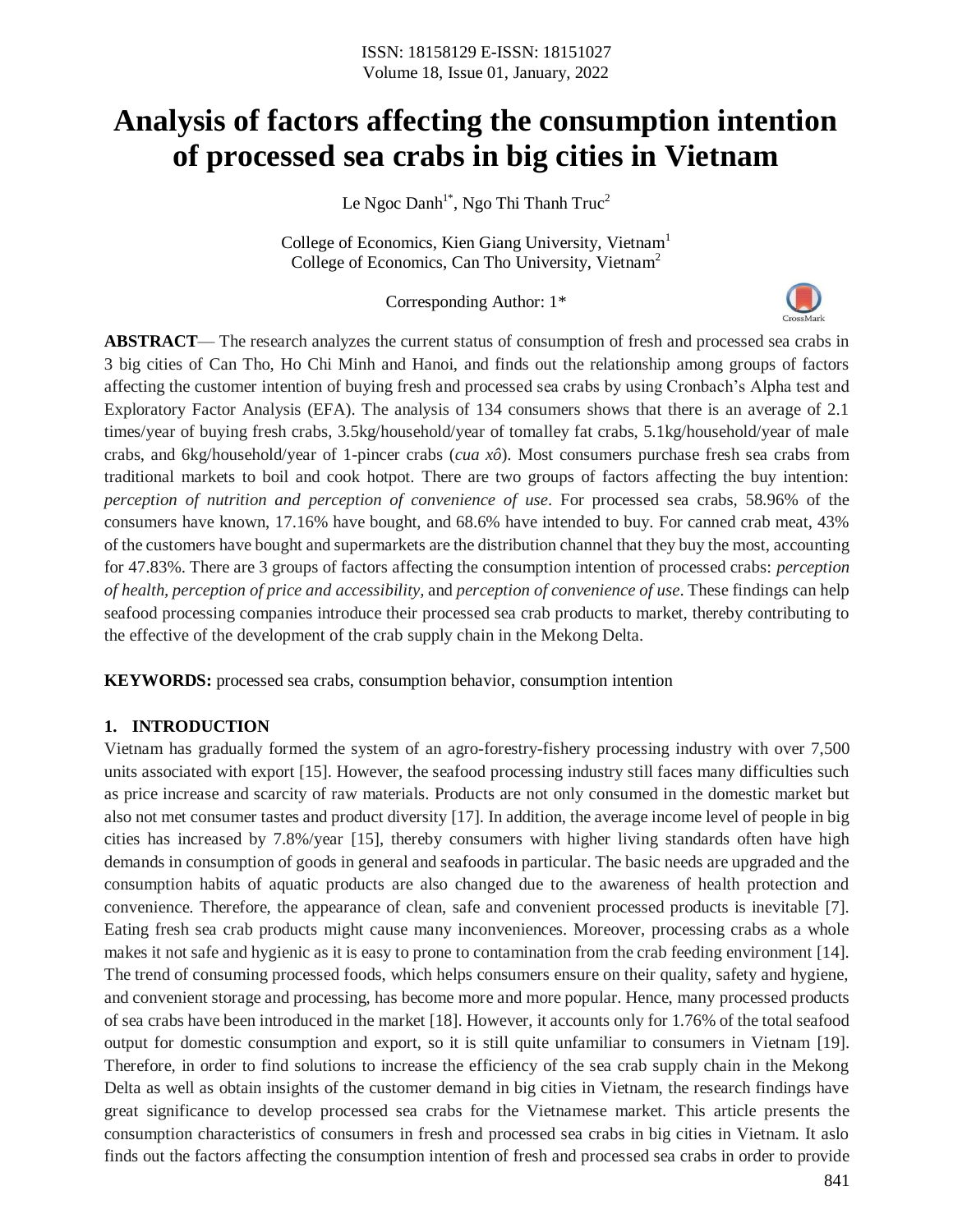# **Analysis of factors affecting the consumption intention of processed sea crabs in big cities in Vietnam**

Le Ngoc Danh<sup>1\*</sup>, Ngo Thi Thanh Truc<sup>2</sup>

College of Economics, Kien Giang University, Vietnam<sup>1</sup> College of Economics, Can Tho University, Vietnam<sup>2</sup>

Corresponding Author: 1\*

**ABSTRACT**— The research analyzes the current status of consumption of fresh and processed sea crabs in 3 big cities of Can Tho, Ho Chi Minh and Hanoi, and finds out the relationship among groups of factors affecting the customer intention of buying fresh and processed sea crabs by using Cronbach's Alpha test and Exploratory Factor Analysis (EFA). The analysis of 134 consumers shows that there is an average of 2.1 times/year of buying fresh crabs, 3.5kg/household/year of tomalley fat crabs, 5.1kg/household/year of male crabs, and 6kg/household/year of 1-pincer crabs (*cua xô*). Most consumers purchase fresh sea crabs from traditional markets to boil and cook hotpot. There are two groups of factors affecting the buy intention: *perception of nutrition and perception of convenience of use*. For processed sea crabs, 58.96% of the consumers have known, 17.16% have bought, and 68.6% have intended to buy. For canned crab meat, 43% of the customers have bought and supermarkets are the distribution channel that they buy the most, accounting for 47.83%. There are 3 groups of factors affecting the consumption intention of processed crabs: *perception of health, perception of price and accessibility,* and *perception of convenience of use*. These findings can help seafood processing companies introduce their processed sea crab products to market, thereby contributing to the effective of the development of the crab supply chain in the Mekong Delta.

**KEYWORDS:** processed sea crabs, consumption behavior, consumption intention

## **1. INTRODUCTION**

Vietnam has gradually formed the system of an agro-forestry-fishery processing industry with over 7,500 units associated with export [15]. However, the seafood processing industry still faces many difficulties such as price increase and scarcity of raw materials. Products are not only consumed in the domestic market but also not met consumer tastes and product diversity [17]. In addition, the average income level of people in big cities has increased by 7.8%/year [15], thereby consumers with higher living standards often have high demands in consumption of goods in general and seafoods in particular. The basic needs are upgraded and the consumption habits of aquatic products are also changed due to the awareness of health protection and convenience. Therefore, the appearance of clean, safe and convenient processed products is inevitable [7]. Eating fresh sea crab products might cause many inconveniences. Moreover, processing crabs as a whole makes it not safe and hygienic as it is easy to prone to contamination from the crab feeding environment [14]. The trend of consuming processed foods, which helps consumers ensure on their quality, safety and hygiene, and convenient storage and processing, has become more and more popular. Hence, many processed products of sea crabs have been introduced in the market [18]. However, it accounts only for 1.76% of the total seafood output for domestic consumption and export, so it is still quite unfamiliar to consumers in Vietnam [19]. Therefore, in order to find solutions to increase the efficiency of the sea crab supply chain in the Mekong Delta as well as obtain insights of the customer demand in big cities in Vietnam, the research findings have great significance to develop processed sea crabs for the Vietnamese market. This article presents the consumption characteristics of consumers in fresh and processed sea crabs in big cities in Vietnam. It aslo finds out the factors affecting the consumption intention of fresh and processed sea crabs in order to provide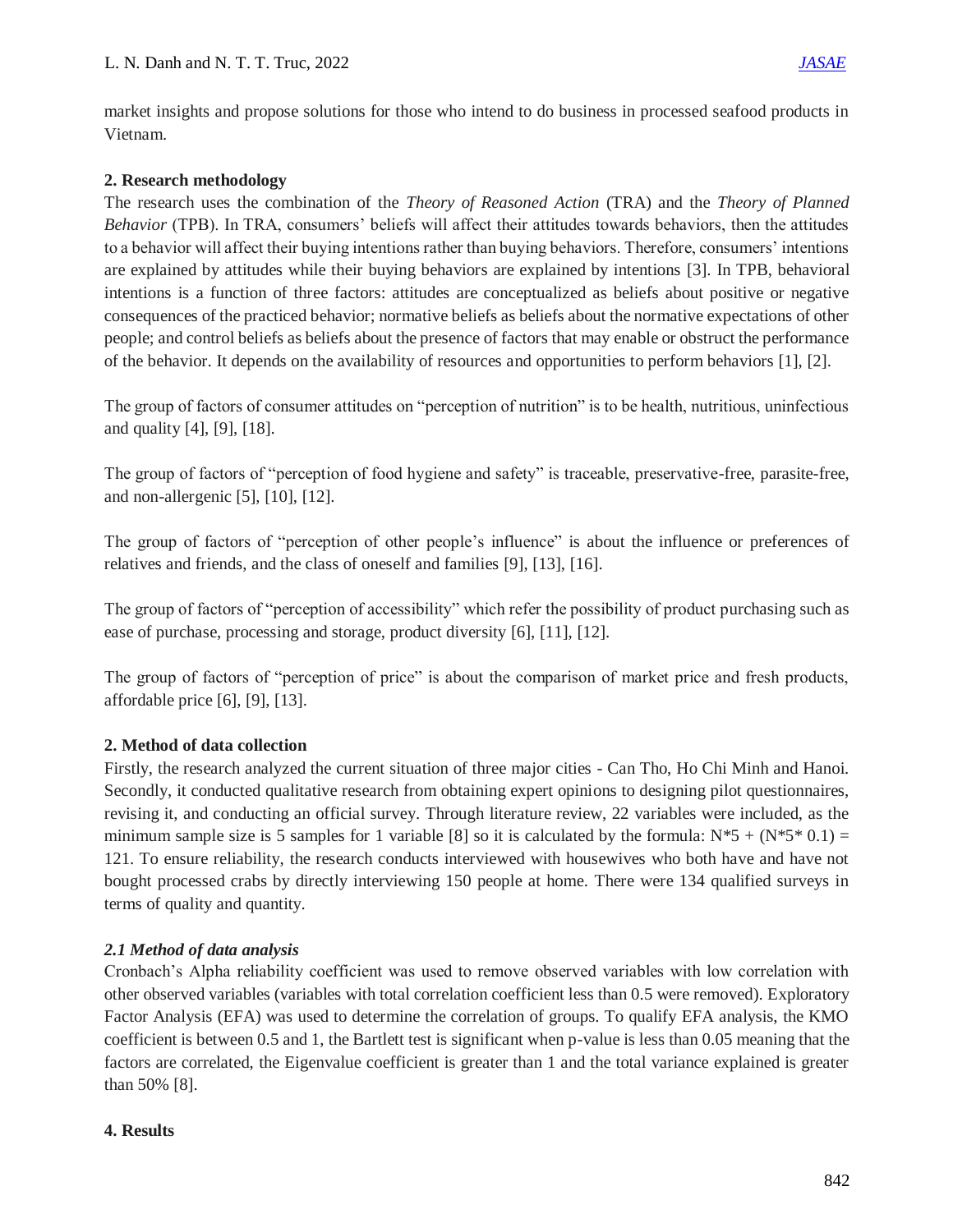market insights and propose solutions for those who intend to do business in processed seafood products in Vietnam.

## **2. Research methodology**

The research uses the combination of the *Theory of Reasoned Action* (TRA) and the *Theory of Planned Behavior* (TPB). In TRA, consumers' beliefs will affect their attitudes towards behaviors, then the attitudes to a behavior will affect their buying intentions rather than buying behaviors. Therefore, consumers' intentions are explained by attitudes while their buying behaviors are explained by intentions [3]. In TPB, behavioral intentions is a function of three factors: attitudes are conceptualized as beliefs about positive or negative consequences of the practiced behavior; normative beliefs as beliefs about the normative expectations of other people; and control beliefs as beliefs about the presence of factors that may enable or obstruct the performance of the behavior. It depends on the availability of resources and opportunities to perform behaviors [1], [2].

The group of factors of consumer attitudes on "perception of nutrition" is to be health, nutritious, uninfectious and quality [4], [9], [18].

The group of factors of "perception of food hygiene and safety" is traceable, preservative-free, parasite-free, and non-allergenic [5], [10], [12].

The group of factors of "perception of other people's influence" is about the influence or preferences of relatives and friends, and the class of oneself and families [9], [13], [16].

The group of factors of "perception of accessibility" which refer the possibility of product purchasing such as ease of purchase, processing and storage, product diversity [6], [11], [12].

The group of factors of "perception of price" is about the comparison of market price and fresh products, affordable price [6], [9], [13].

## **2. Method of data collection**

Firstly, the research analyzed the current situation of three major cities - Can Tho, Ho Chi Minh and Hanoi. Secondly, it conducted qualitative research from obtaining expert opinions to designing pilot questionnaires, revising it, and conducting an official survey. Through literature review, 22 variables were included, as the minimum sample size is 5 samples for 1 variable [8] so it is calculated by the formula:  $N*5 + (N*5* 0.1) =$ 121. To ensure reliability, the research conducts interviewed with housewives who both have and have not bought processed crabs by directly interviewing 150 people at home. There were 134 qualified surveys in terms of quality and quantity.

## *2.1 Method of data analysis*

Cronbach's Alpha reliability coefficient was used to remove observed variables with low correlation with other observed variables (variables with total correlation coefficient less than 0.5 were removed). Exploratory Factor Analysis (EFA) was used to determine the correlation of groups. To qualify EFA analysis, the KMO coefficient is between 0.5 and 1, the Bartlett test is significant when p-value is less than 0.05 meaning that the factors are correlated, the Eigenvalue coefficient is greater than 1 and the total variance explained is greater than 50% [8].

## **4. Results**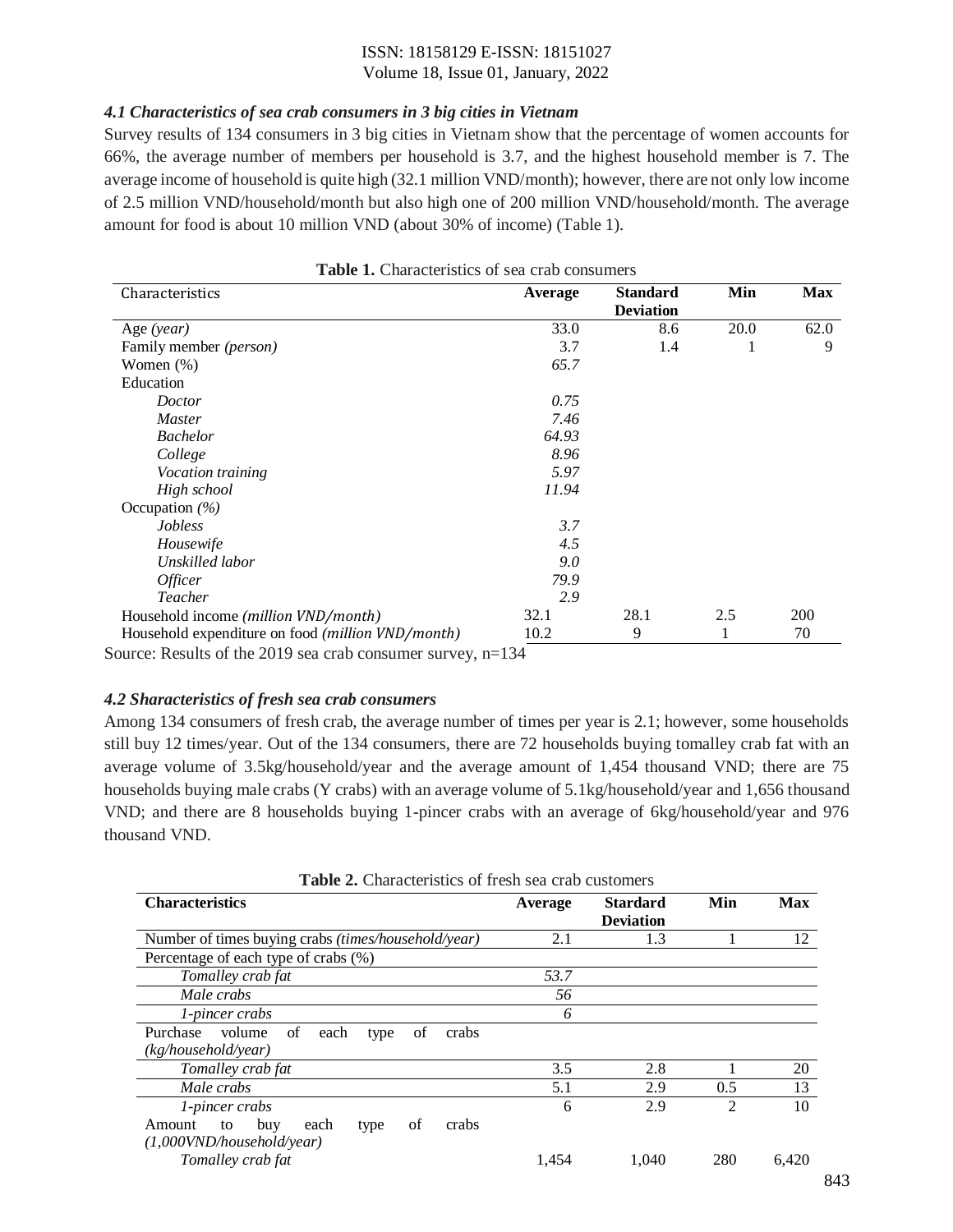## ISSN: 18158129 E-ISSN: 18151027

#### Volume 18, Issue 01, January, 2022

## *4.1 Characteristics of sea crab consumers in 3 big cities in Vietnam*

Survey results of 134 consumers in 3 big cities in Vietnam show that the percentage of women accounts for 66%, the average number of members per household is 3.7, and the highest household member is 7. The average income of household is quite high (32.1 million VND/month); however, there are not only low income of 2.5 million VND/household/month but also high one of 200 million VND/household/month. The average amount for food is about 10 million VND (about 30% of income) (Table 1).

| Characteristics                                               | Average | <b>Standard</b><br><b>Deviation</b> | Min  | <b>Max</b> |
|---------------------------------------------------------------|---------|-------------------------------------|------|------------|
| Age (year)                                                    | 33.0    | 8.6                                 | 20.0 | 62.0       |
| Family member (person)                                        | 3.7     | 1.4                                 | 1    | 9          |
| Women $(\%)$                                                  | 65.7    |                                     |      |            |
| Education                                                     |         |                                     |      |            |
| Doctor                                                        | 0.75    |                                     |      |            |
| <i>Master</i>                                                 | 7.46    |                                     |      |            |
| <b>Bachelor</b>                                               | 64.93   |                                     |      |            |
| College                                                       | 8.96    |                                     |      |            |
| <i>Vocation training</i>                                      | 5.97    |                                     |      |            |
| High school                                                   | 11.94   |                                     |      |            |
| Occupation $(\% )$                                            |         |                                     |      |            |
| <i>Jobless</i>                                                | 3.7     |                                     |      |            |
| Housewife                                                     | 4.5     |                                     |      |            |
| Unskilled labor                                               | 9.0     |                                     |      |            |
| <i>Officer</i>                                                | 79.9    |                                     |      |            |
| Teacher                                                       | 2.9     |                                     |      |            |
| Household income (million VND/month)                          | 32.1    | 28.1                                | 2.5  | 200        |
| Household expenditure on food (million VND/month)             | 10.2    | 9                                   | 1    | 70         |
| Source: Results of the 2019 sea crab consumer survey, $n=134$ |         |                                     |      |            |

**Table 1.** Characteristics of sea crab consumers

#### *4.2 Sharacteristics of fresh sea crab consumers*

Among 134 consumers of fresh crab, the average number of times per year is 2.1; however, some households still buy 12 times/year. Out of the 134 consumers, there are 72 households buying tomalley crab fat with an average volume of 3.5kg/household/year and the average amount of 1,454 thousand VND; there are 75 households buying male crabs (Y crabs) with an average volume of 5.1kg/household/year and 1,656 thousand VND; and there are 8 households buying 1-pincer crabs with an average of 6kg/household/year and 976 thousand VND.

**Table 2.** Characteristics of fresh sea crab customers

| <b>Characteristics</b>                                     | Average | <b>Stardard</b><br><b>Deviation</b> | Min            | <b>Max</b> |
|------------------------------------------------------------|---------|-------------------------------------|----------------|------------|
| Number of times buying crabs <i>(times/household/year)</i> | 2.1     | 1.3                                 |                | 12         |
| Percentage of each type of crabs (%)                       |         |                                     |                |            |
| Tomalley crab fat                                          | 53.7    |                                     |                |            |
| Male crabs                                                 | 56      |                                     |                |            |
| 1-pincer crabs                                             | 6       |                                     |                |            |
| volume<br>of<br>Purchase<br>crabs<br>each<br>οf<br>type    |         |                                     |                |            |
| (kg/house hold/year)                                       |         |                                     |                |            |
| Tomalley crab fat                                          | 3.5     | 2.8                                 |                | 20         |
| Male crabs                                                 | 5.1     | 2.9                                 | 0.5            | 13         |
| 1-pincer crabs                                             | 6       | 2.9                                 | $\mathfrak{D}$ | 10         |
| of<br>crabs<br>Amount<br>buy<br>each<br>to<br>type         |         |                                     |                |            |
| $(1,000$ VND/household/year)                               |         |                                     |                |            |
| Tomalley crab fat                                          | 1.454   | 1.040                               | 280            | 6.420      |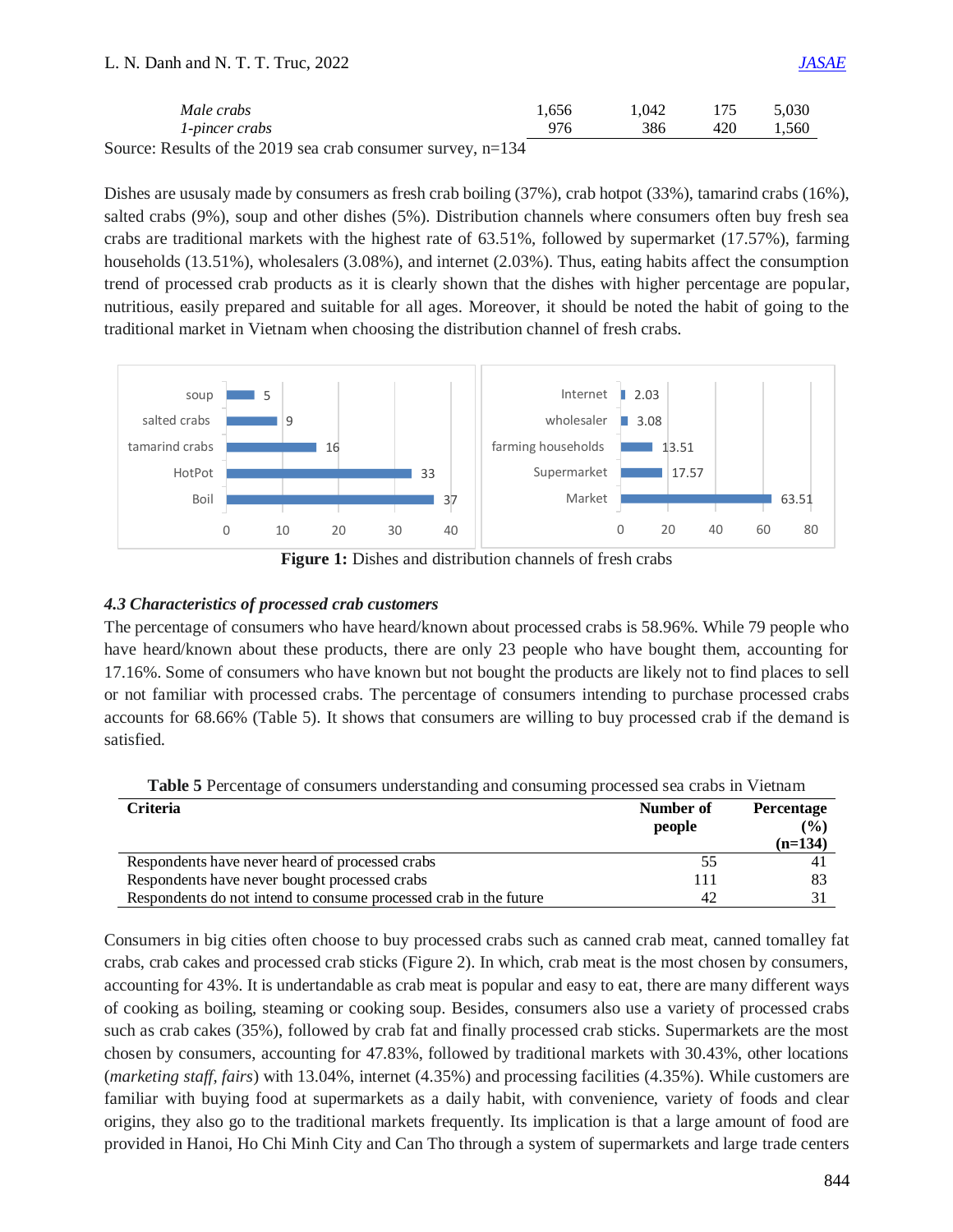#### L. N. Danh and N. T. T. Truc, 2022 *[JASAE](https://www.sagepublisher.com/)*

| Male crabs                                                   | 1.656 | .042 |     | 5.030 |
|--------------------------------------------------------------|-------|------|-----|-------|
| 1-pincer crabs                                               |       | 386  | 420 | 1.560 |
| Source: Results of the 2019 sea crab consumer survey $n=134$ |       |      |     |       |

Source: Results of the 2019 sea crab consumer survey, n=134

Dishes are ususaly made by consumers as fresh crab boiling (37%), crab hotpot (33%), tamarind crabs (16%), salted crabs (9%), soup and other dishes (5%). Distribution channels where consumers often buy fresh sea crabs are traditional markets with the highest rate of 63.51%, followed by supermarket (17.57%), farming households (13.51%), wholesalers (3.08%), and internet (2.03%). Thus, eating habits affect the consumption trend of processed crab products as it is clearly shown that the dishes with higher percentage are popular, nutritious, easily prepared and suitable for all ages. Moreover, it should be noted the habit of going to the traditional market in Vietnam when choosing the distribution channel of fresh crabs.



**Figure 1:** Dishes and distribution channels of fresh crabs

## *4.3 Characteristics of processed crab customers*

The percentage of consumers who have heard/known about processed crabs is 58.96%. While 79 people who have heard/known about these products, there are only 23 people who have bought them, accounting for 17.16%. Some of consumers who have known but not bought the products are likely not to find places to sell or not familiar with processed crabs. The percentage of consumers intending to purchase processed crabs accounts for 68.66% (Table 5). It shows that consumers are willing to buy processed crab if the demand is satisfied.

| <b>Criteria</b>                                                   | Number of<br>people | <b>Percentage</b><br>(%)<br>$(n=134)$ |
|-------------------------------------------------------------------|---------------------|---------------------------------------|
| Respondents have never heard of processed crabs                   |                     |                                       |
| Respondents have never bought processed crabs                     |                     |                                       |
| Respondents do not intend to consume processed crab in the future | 42                  |                                       |

**Table 5** Percentage of consumers understanding and consuming processed sea crabs in Vietnam

Consumers in big cities often choose to buy processed crabs such as canned crab meat, canned tomalley fat crabs, crab cakes and processed crab sticks (Figure 2). In which, crab meat is the most chosen by consumers, accounting for 43%. It is undertandable as crab meat is popular and easy to eat, there are many different ways of cooking as boiling, steaming or cooking soup. Besides, consumers also use a variety of processed crabs such as crab cakes (35%), followed by crab fat and finally processed crab sticks. Supermarkets are the most chosen by consumers, accounting for 47.83%, followed by traditional markets with 30.43%, other locations (*marketing staff, fairs*) with 13.04%, internet (4.35%) and processing facilities (4.35%). While customers are familiar with buying food at supermarkets as a daily habit, with convenience, variety of foods and clear origins, they also go to the traditional markets frequently. Its implication is that a large amount of food are provided in Hanoi, Ho Chi Minh City and Can Tho through a system of supermarkets and large trade centers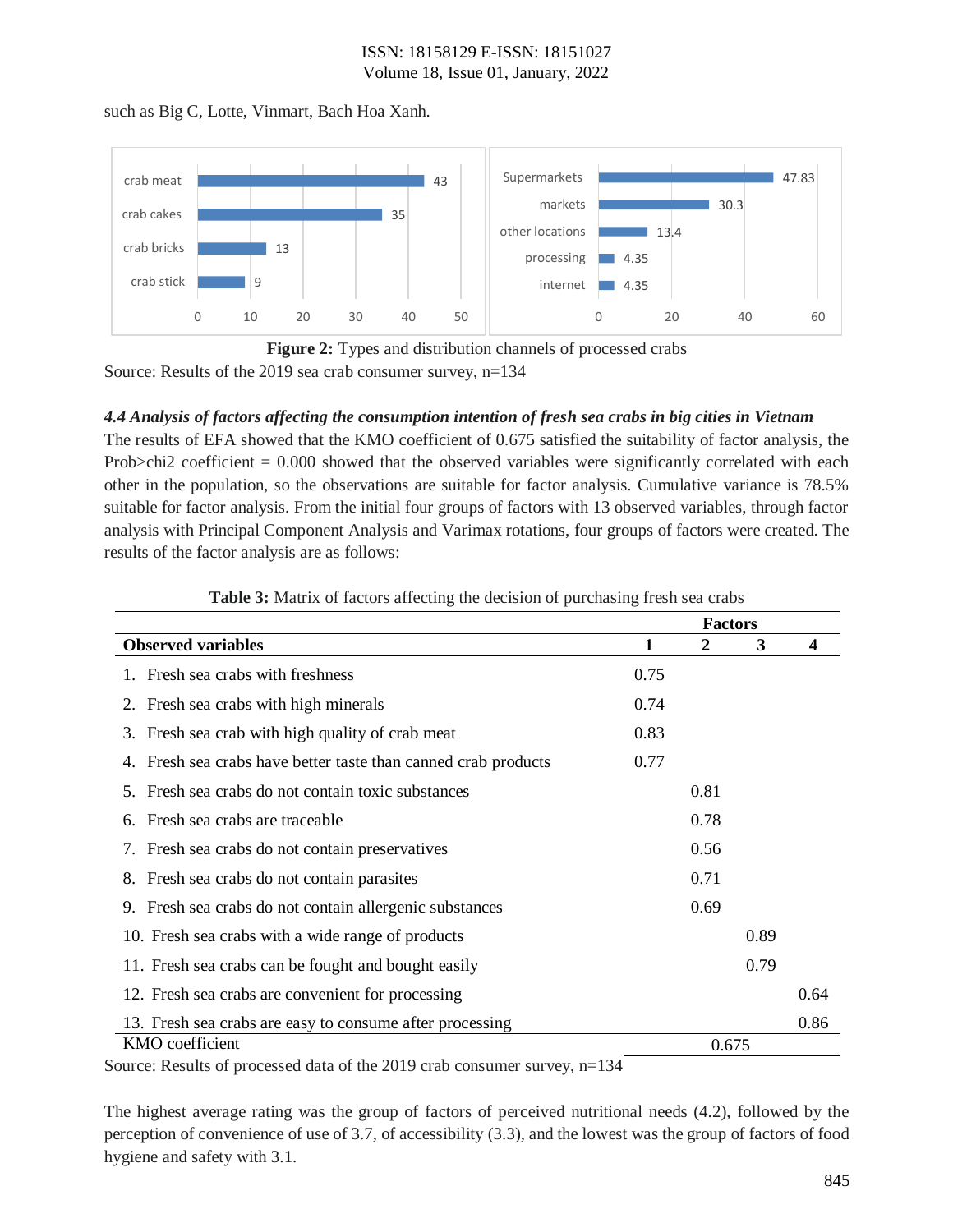## ISSN: 18158129 E-ISSN: 18151027 Volume 18, Issue 01, January, 2022

such as Big C, Lotte, Vinmart, Bach Hoa Xanh.





## *4.4 Analysis of factors affecting the consumption intention of fresh sea crabs in big cities in Vietnam*

The results of EFA showed that the KMO coefficient of 0.675 satisfied the suitability of factor analysis, the Prob>chi2 coefficient = 0.000 showed that the observed variables were significantly correlated with each other in the population, so the observations are suitable for factor analysis. Cumulative variance is 78.5% suitable for factor analysis. From the initial four groups of factors with 13 observed variables, through factor analysis with Principal Component Analysis and Varimax rotations, four groups of factors were created. The results of the factor analysis are as follows:

|                                                                   | <b>Factors</b> |                  |      |      |
|-------------------------------------------------------------------|----------------|------------------|------|------|
| <b>Observed variables</b>                                         | 1              | $\boldsymbol{2}$ | 3    | 4    |
| 1. Fresh sea crabs with freshness                                 | 0.75           |                  |      |      |
| Fresh sea crabs with high minerals<br>2.                          | 0.74           |                  |      |      |
| 3. Fresh sea crab with high quality of crab meat                  | 0.83           |                  |      |      |
| Fresh sea crabs have better taste than canned crab products<br>4. | 0.77           |                  |      |      |
| Fresh sea crabs do not contain toxic substances<br>5.             |                | 0.81             |      |      |
| Fresh sea crabs are traceable<br>6.                               |                | 0.78             |      |      |
| 7. Fresh sea crabs do not contain preservatives                   |                | 0.56             |      |      |
| 8. Fresh sea crabs do not contain parasites                       |                | 0.71             |      |      |
| Fresh sea crabs do not contain allergenic substances<br>9.        | 0.69           |                  |      |      |
| 10. Fresh sea crabs with a wide range of products                 |                |                  | 0.89 |      |
| 11. Fresh sea crabs can be fought and bought easily               |                |                  | 0.79 |      |
| 12. Fresh sea crabs are convenient for processing                 |                |                  |      | 0.64 |
| 13. Fresh sea crabs are easy to consume after processing          |                |                  |      | 0.86 |
| KMO coefficient                                                   |                | 0.675            |      |      |

| <b>Table 3:</b> Matrix of factors affecting the decision of purchasing fresh sea crabs |
|----------------------------------------------------------------------------------------|
|----------------------------------------------------------------------------------------|

Source: Results of processed data of the 2019 crab consumer survey, n=134

The highest average rating was the group of factors of perceived nutritional needs (4.2), followed by the perception of convenience of use of 3.7, of accessibility (3.3), and the lowest was the group of factors of food hygiene and safety with 3.1.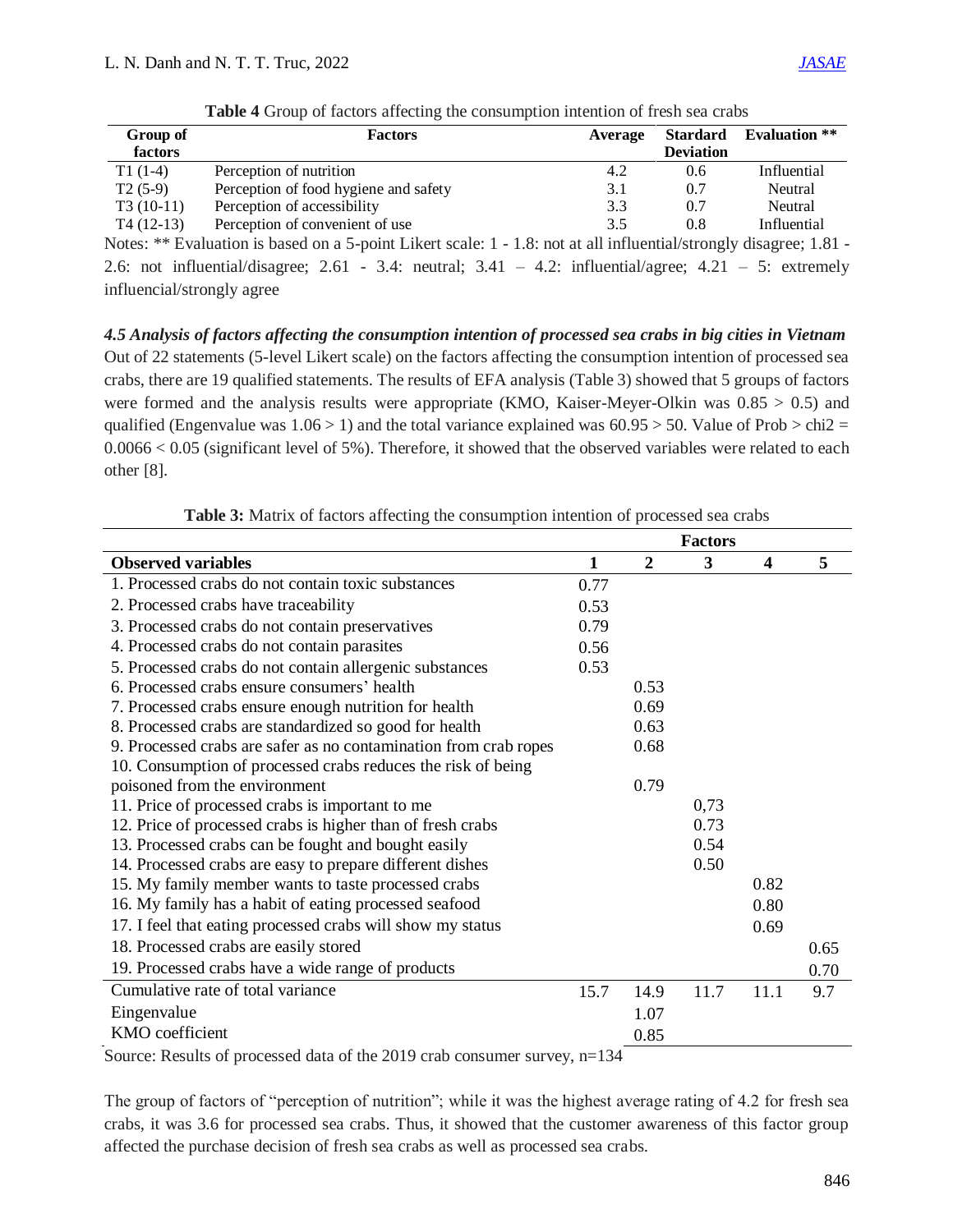| Group of    | <b>Factors</b>                        | Average | Stardard         | <b>Evaluation</b> ** |
|-------------|---------------------------------------|---------|------------------|----------------------|
| factors     |                                       |         | <b>Deviation</b> |                      |
| $T1(1-4)$   | Perception of nutrition               | 4.2     | 0.6              | Influential          |
| $T2(5-9)$   | Perception of food hygiene and safety | 3.1     | 0.7              | Neutral              |
| $T3(10-11)$ | Perception of accessibility           | 3.3     | 0.7              | Neutral              |
| $T4(12-13)$ | Perception of convenient of use       | 3.5     | 0.8              | Influential          |
|             |                                       |         |                  | $\sim$               |

**Table 4** Group of factors affecting the consumption intention of fresh sea crabs

Notes: \*\* Evaluation is based on a 5-point Likert scale: 1 - 1.8: not at all influential/strongly disagree; 1.81 - 2.6: not influential/disagree; 2.61 - 3.4: neutral;  $3.41 - 4.2$ : influential/agree;  $4.21 - 5$ : extremely influencial/strongly agree

*4.5 Analysis of factors affecting the consumption intention of processed sea crabs in big cities in Vietnam*  Out of 22 statements (5-level Likert scale) on the factors affecting the consumption intention of processed sea crabs, there are 19 qualified statements. The results of EFA analysis (Table 3) showed that 5 groups of factors were formed and the analysis results were appropriate (KMO, Kaiser-Meyer-Olkin was  $0.85 > 0.5$ ) and qualified (Engenvalue was  $1.06 > 1$ ) and the total variance explained was  $60.95 > 50$ . Value of Prob  $>$  chi2 = 0.0066 < 0.05 (significant level of 5%). Therefore, it showed that the observed variables were related to each other [8].

**Table 3:** Matrix of factors affecting the consumption intention of processed sea crabs

|                                                                  | <b>Factors</b> |                |      |                         |      |
|------------------------------------------------------------------|----------------|----------------|------|-------------------------|------|
| <b>Observed variables</b>                                        | $\mathbf{1}$   | $\overline{2}$ | 3    | $\overline{\mathbf{4}}$ | 5    |
| 1. Processed crabs do not contain toxic substances               | 0.77           |                |      |                         |      |
| 2. Processed crabs have traceability                             | 0.53           |                |      |                         |      |
| 3. Processed crabs do not contain preservatives                  | 0.79           |                |      |                         |      |
| 4. Processed crabs do not contain parasites                      | 0.56           |                |      |                         |      |
| 5. Processed crabs do not contain allergenic substances          | 0.53           |                |      |                         |      |
| 6. Processed crabs ensure consumers' health                      |                | 0.53           |      |                         |      |
| 7. Processed crabs ensure enough nutrition for health            |                | 0.69           |      |                         |      |
| 8. Processed crabs are standardized so good for health           |                | 0.63           |      |                         |      |
| 9. Processed crabs are safer as no contamination from crab ropes |                | 0.68           |      |                         |      |
| 10. Consumption of processed crabs reduces the risk of being     |                |                |      |                         |      |
| poisoned from the environment                                    |                | 0.79           |      |                         |      |
| 11. Price of processed crabs is important to me                  |                |                | 0,73 |                         |      |
| 12. Price of processed crabs is higher than of fresh crabs       |                |                | 0.73 |                         |      |
| 13. Processed crabs can be fought and bought easily              |                |                | 0.54 |                         |      |
| 14. Processed crabs are easy to prepare different dishes         |                |                | 0.50 |                         |      |
| 15. My family member wants to taste processed crabs              |                |                |      | 0.82                    |      |
| 16. My family has a habit of eating processed seafood            |                |                |      | 0.80                    |      |
| 17. I feel that eating processed crabs will show my status       |                |                |      | 0.69                    |      |
| 18. Processed crabs are easily stored                            |                |                |      |                         | 0.65 |
| 19. Processed crabs have a wide range of products                |                |                |      |                         | 0.70 |
| Cumulative rate of total variance                                | 15.7           | 14.9           | 11.7 | 11.1                    | 9.7  |
| Eingenvalue                                                      |                | 1.07           |      |                         |      |
| KMO coefficient                                                  |                | 0.85           |      |                         |      |

Source: Results of processed data of the 2019 crab consumer survey, n=134

The group of factors of "perception of nutrition"; while it was the highest average rating of 4.2 for fresh sea crabs, it was 3.6 for processed sea crabs. Thus, it showed that the customer awareness of this factor group affected the purchase decision of fresh sea crabs as well as processed sea crabs.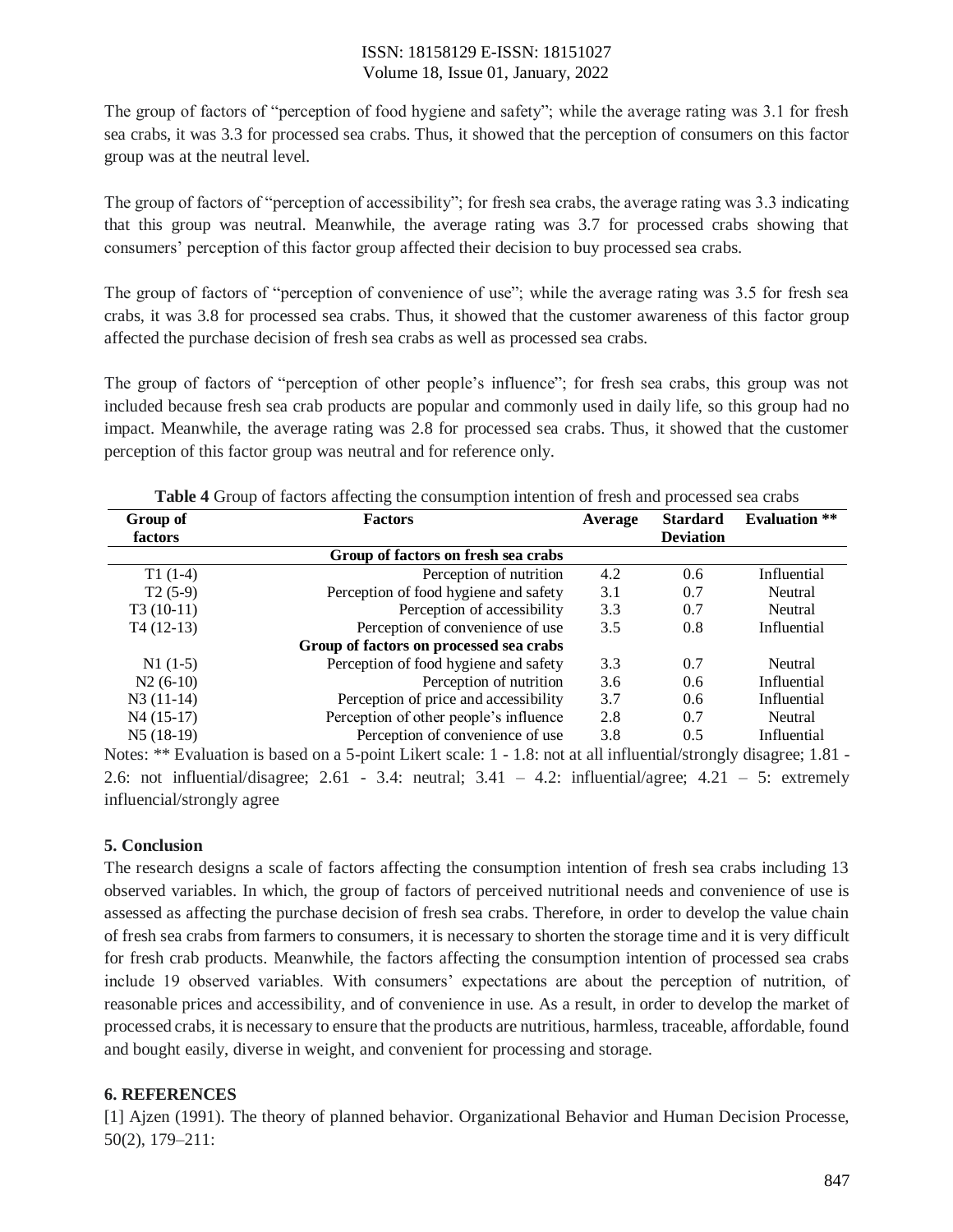## ISSN: 18158129 E-ISSN: 18151027 Volume 18, Issue 01, January, 2022

The group of factors of "perception of food hygiene and safety"; while the average rating was 3.1 for fresh sea crabs, it was 3.3 for processed sea crabs. Thus, it showed that the perception of consumers on this factor group was at the neutral level.

The group of factors of "perception of accessibility"; for fresh sea crabs, the average rating was 3.3 indicating that this group was neutral. Meanwhile, the average rating was 3.7 for processed crabs showing that consumers' perception of this factor group affected their decision to buy processed sea crabs.

The group of factors of "perception of convenience of use"; while the average rating was 3.5 for fresh sea crabs, it was 3.8 for processed sea crabs. Thus, it showed that the customer awareness of this factor group affected the purchase decision of fresh sea crabs as well as processed sea crabs.

The group of factors of "perception of other people's influence"; for fresh sea crabs, this group was not included because fresh sea crab products are popular and commonly used in daily life, so this group had no impact. Meanwhile, the average rating was 2.8 for processed sea crabs. Thus, it showed that the customer perception of this factor group was neutral and for reference only.

| Group of    | <b>Factors</b>                          | Average | <b>Stardard</b>  | <b>Evaluation</b> ** |
|-------------|-----------------------------------------|---------|------------------|----------------------|
| factors     |                                         |         | <b>Deviation</b> |                      |
|             | Group of factors on fresh sea crabs     |         |                  |                      |
| $T1(1-4)$   | Perception of nutrition                 | 4.2     | 0.6              | Influential          |
| $T2(5-9)$   | Perception of food hygiene and safety   | 3.1     | 0.7              | Neutral              |
| $T3(10-11)$ | Perception of accessibility             | 3.3     | 0.7              | Neutral              |
| $T4(12-13)$ | Perception of convenience of use        | 3.5     | 0.8              | Influential          |
|             | Group of factors on processed sea crabs |         |                  |                      |
| $N1(1-5)$   | Perception of food hygiene and safety   | 3.3     | 0.7              | Neutral              |
| $N2(6-10)$  | Perception of nutrition                 | 3.6     | 0.6              | Influential          |
| $N3(11-14)$ | Perception of price and accessibility   | 3.7     | 0.6              | Influential          |
| $N4(15-17)$ | Perception of other people's influence  | 2.8     | 0.7              | Neutral              |
| $N5(18-19)$ | Perception of convenience of use        | 3.8     | 0.5              | Influential          |

**Table 4** Group of factors affecting the consumption intention of fresh and processed sea crabs

Notes: \*\* Evaluation is based on a 5-point Likert scale: 1 - 1.8: not at all influential/strongly disagree; 1.81 - 2.6: not influential/disagree; 2.61 - 3.4: neutral; 3.41 – 4.2: influential/agree; 4.21 – 5: extremely influencial/strongly agree

## **5. Conclusion**

The research designs a scale of factors affecting the consumption intention of fresh sea crabs including 13 observed variables. In which, the group of factors of perceived nutritional needs and convenience of use is assessed as affecting the purchase decision of fresh sea crabs. Therefore, in order to develop the value chain of fresh sea crabs from farmers to consumers, it is necessary to shorten the storage time and it is very difficult for fresh crab products. Meanwhile, the factors affecting the consumption intention of processed sea crabs include 19 observed variables. With consumers' expectations are about the perception of nutrition, of reasonable prices and accessibility, and of convenience in use. As a result, in order to develop the market of processed crabs, it is necessary to ensure that the products are nutritious, harmless, traceable, affordable, found and bought easily, diverse in weight, and convenient for processing and storage.

## **6. REFERENCES**

[1] Ajzen (1991). The theory of planned behavior. Organizational Behavior and Human Decision Processe, 50(2), 179–211: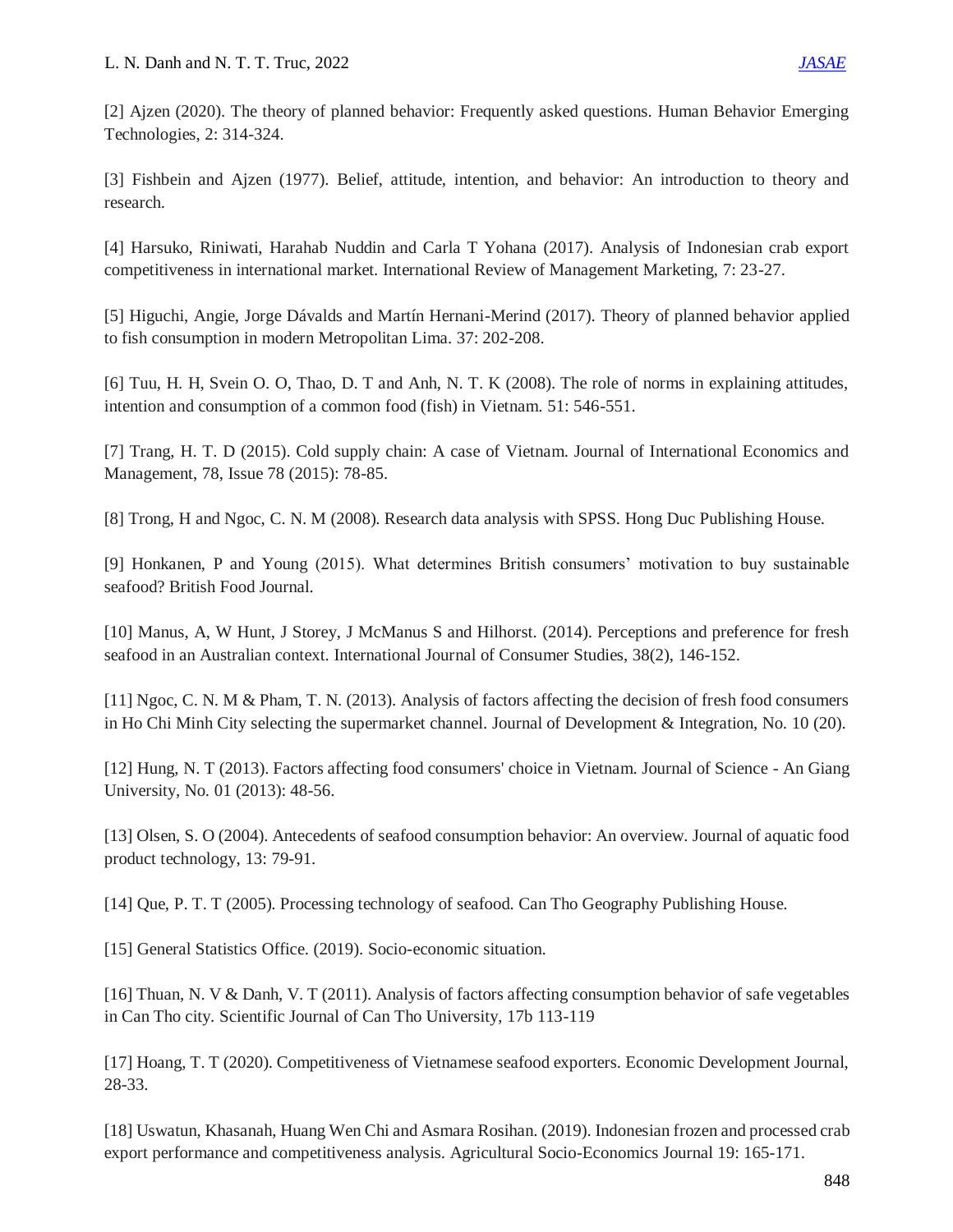[2] Ajzen (2020). The theory of planned behavior: Frequently asked questions. Human Behavior Emerging Technologies, 2: 314-324.

[3] Fishbein and Ajzen (1977). Belief, attitude, intention, and behavior: An introduction to theory and research.

[4] Harsuko, Riniwati, Harahab Nuddin and Carla T Yohana (2017). Analysis of Indonesian crab export competitiveness in international market. International Review of Management Marketing, 7: 23-27.

[5] Higuchi, Angie, Jorge Dávalds and Martín Hernani-Merind (2017). Theory of planned behavior applied to fish consumption in modern Metropolitan Lima. 37: 202-208.

[6] Tuu, H. H, Svein O. O, Thao, D. T and Anh, N. T. K (2008). The role of norms in explaining attitudes, intention and consumption of a common food (fish) in Vietnam. 51: 546-551.

[7] Trang, H. T. D (2015). Cold supply chain: A case of Vietnam. Journal of International Economics and Management, 78, Issue 78 (2015): 78-85.

[8] Trong, H and Ngoc, C. N. M (2008). Research data analysis with SPSS. Hong Duc Publishing House.

[9] Honkanen, P and Young (2015). What determines British consumers' motivation to buy sustainable seafood? British Food Journal.

[10] Manus, A, W Hunt, J Storey, J McManus S and Hilhorst. (2014). Perceptions and preference for fresh seafood in an Australian context. International Journal of Consumer Studies, 38(2), 146-152.

[11] Ngoc, C. N. M & Pham, T. N. (2013). Analysis of factors affecting the decision of fresh food consumers in Ho Chi Minh City selecting the supermarket channel. Journal of Development & Integration, No. 10 (20).

[12] Hung, N. T (2013). Factors affecting food consumers' choice in Vietnam. Journal of Science - An Giang University, No. 01 (2013): 48-56.

[13] Olsen, S. O (2004). Antecedents of seafood consumption behavior: An overview. Journal of aquatic food product technology, 13: 79-91.

[14] Que, P. T. T (2005). Processing technology of seafood. Can Tho Geography Publishing House.

[15] General Statistics Office. (2019). Socio-economic situation.

[16] Thuan, N. V & Danh, V. T (2011). Analysis of factors affecting consumption behavior of safe vegetables in Can Tho city. Scientific Journal of Can Tho University, 17b 113-119

[17] Hoang, T. T (2020). Competitiveness of Vietnamese seafood exporters. Economic Development Journal, 28-33.

[18] Uswatun, Khasanah, Huang Wen Chi and Asmara Rosihan. (2019). Indonesian frozen and processed crab export performance and competitiveness analysis. Agricultural Socio-Economics Journal 19: 165-171.